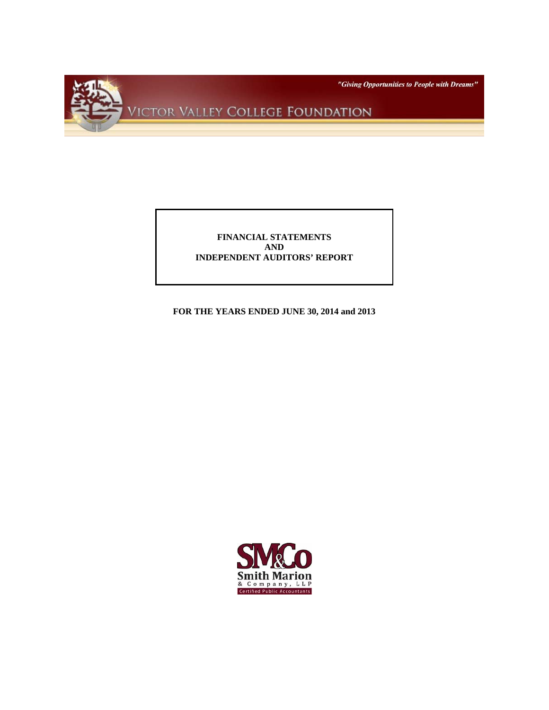

# **FINANCIAL STATEMENTS AND INDEPENDENT AUDITORS' REPORT**

**FOR THE YEARS ENDED JUNE 30, 2014 and 2013** 

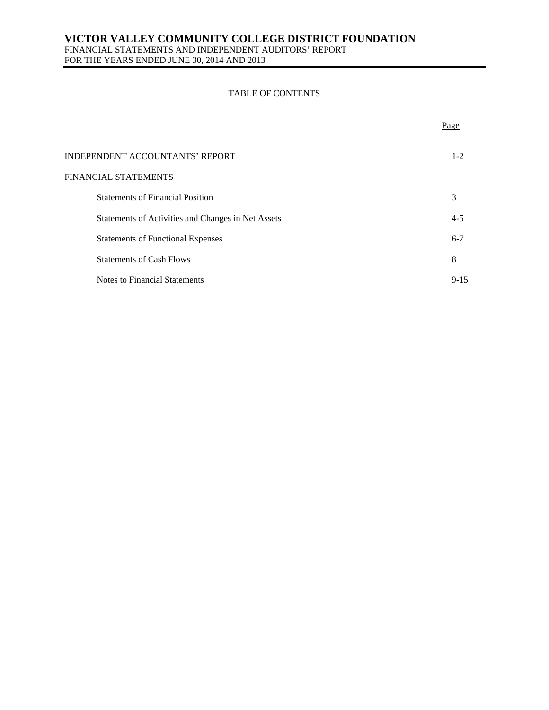# **VICTOR VALLEY COMMUNITY COLLEGE DISTRICT FOUNDATION**  FINANCIAL STATEMENTS AND INDEPENDENT AUDITORS' REPORT

FOR THE YEARS ENDED JUNE 30, 2014 AND 2013

## TABLE OF CONTENTS

|                                                    | Page     |
|----------------------------------------------------|----------|
| INDEPENDENT ACCOUNTANTS' REPORT                    | $1 - 2$  |
| FINANCIAL STATEMENTS                               |          |
| <b>Statements of Financial Position</b>            | 3        |
| Statements of Activities and Changes in Net Assets | $4 - 5$  |
| <b>Statements of Functional Expenses</b>           | $6 - 7$  |
| <b>Statements of Cash Flows</b>                    | 8        |
| <b>Notes to Financial Statements</b>               | $9 - 15$ |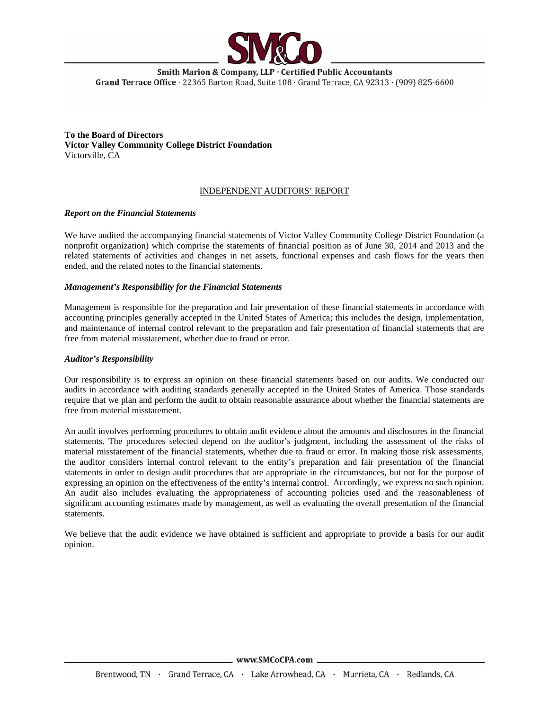

Smith Marion & Company, LLP · Certified Public Accountants Grand Terrace Office · 22365 Barton Road, Suite 108 · Grand Terrace, CA 92313 · (909) 825-6600

**To the Board of Directors Victor Valley Community College District Foundation** Victorville, CA

#### INDEPENDENT AUDITORS' REPORT

#### *Report on the Financial Statements*

We have audited the accompanying financial statements of Victor Valley Community College District Foundation (a nonprofit organization) which comprise the statements of financial position as of June 30, 2014 and 2013 and the related statements of activities and changes in net assets, functional expenses and cash flows for the years then ended, and the related notes to the financial statements.

#### *Management's Responsibility for the Financial Statements*

Management is responsible for the preparation and fair presentation of these financial statements in accordance with accounting principles generally accepted in the United States of America; this includes the design, implementation, and maintenance of internal control relevant to the preparation and fair presentation of financial statements that are free from material misstatement, whether due to fraud or error.

#### *Auditor's Responsibility*

Our responsibility is to express an opinion on these financial statements based on our audits. We conducted our audits in accordance with auditing standards generally accepted in the United States of America. Those standards require that we plan and perform the audit to obtain reasonable assurance about whether the financial statements are free from material misstatement.

An audit involves performing procedures to obtain audit evidence about the amounts and disclosures in the financial statements. The procedures selected depend on the auditor's judgment, including the assessment of the risks of material misstatement of the financial statements, whether due to fraud or error. In making those risk assessments, the auditor considers internal control relevant to the entity's preparation and fair presentation of the financial statements in order to design audit procedures that are appropriate in the circumstances, but not for the purpose of expressing an opinion on the effectiveness of the entity's internal control. Accordingly, we express no such opinion. An audit also includes evaluating the appropriateness of accounting policies used and the reasonableness of significant accounting estimates made by management, as well as evaluating the overall presentation of the financial statements.

We believe that the audit evidence we have obtained is sufficient and appropriate to provide a basis for our audit opinion.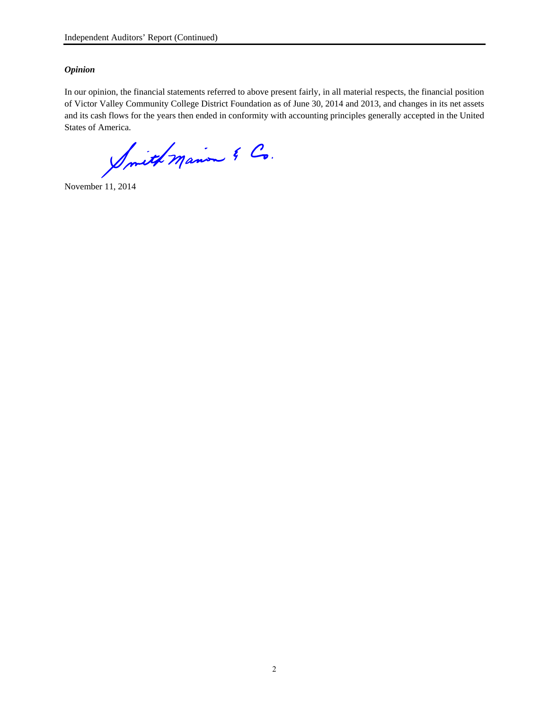## *Opinion*

In our opinion, the financial statements referred to above present fairly, in all material respects, the financial position of Victor Valley Community College District Foundation as of June 30, 2014 and 2013, and changes in its net assets and its cash flows for the years then ended in conformity with accounting principles generally accepted in the United States of America.

Smith Manon & Co.

November 11, 2014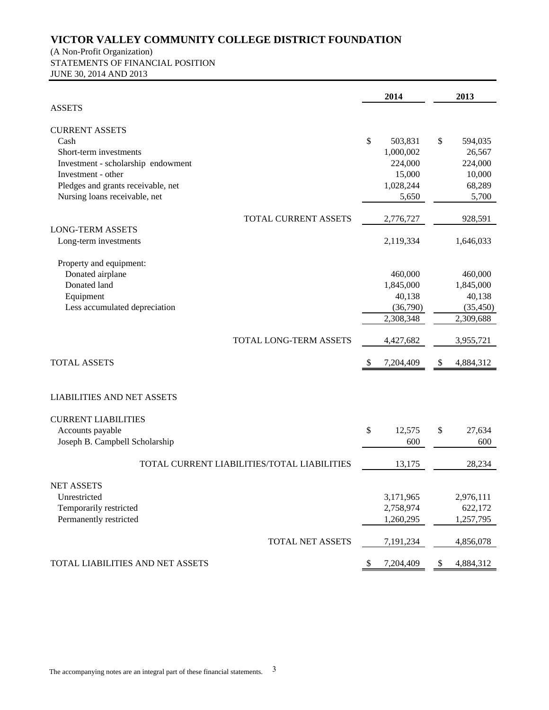(A Non-Profit Organization) STATEMENTS OF FINANCIAL POSITION JUNE 30, 2014 AND 2013

|                                                                                                                                                                                            | 2014                                                                  | 2013                                                                  |
|--------------------------------------------------------------------------------------------------------------------------------------------------------------------------------------------|-----------------------------------------------------------------------|-----------------------------------------------------------------------|
| <b>ASSETS</b>                                                                                                                                                                              |                                                                       |                                                                       |
| <b>CURRENT ASSETS</b><br>Cash<br>Short-term investments<br>Investment - scholarship endowment<br>Investment - other<br>Pledges and grants receivable, net<br>Nursing loans receivable, net | \$<br>503,831<br>1,000,002<br>224,000<br>15,000<br>1,028,244<br>5,650 | \$<br>594,035<br>26,567<br>224,000<br>10,000<br>68,289<br>5,700       |
| TOTAL CURRENT ASSETS                                                                                                                                                                       | 2,776,727                                                             | 928,591                                                               |
| <b>LONG-TERM ASSETS</b><br>Long-term investments                                                                                                                                           | 2,119,334                                                             | 1,646,033                                                             |
| Property and equipment:<br>Donated airplane<br>Donated land<br>Equipment<br>Less accumulated depreciation<br>TOTAL LONG-TERM ASSETS                                                        | 460,000<br>1,845,000<br>40,138<br>(36,790)<br>2,308,348<br>4,427,682  | 460,000<br>1,845,000<br>40,138<br>(35, 450)<br>2,309,688<br>3,955,721 |
| <b>TOTAL ASSETS</b>                                                                                                                                                                        | \$<br>7,204,409                                                       | \$<br>4,884,312                                                       |
| <b>LIABILITIES AND NET ASSETS</b>                                                                                                                                                          |                                                                       |                                                                       |
| <b>CURRENT LIABILITIES</b><br>Accounts payable<br>Joseph B. Campbell Scholarship                                                                                                           | \$<br>12,575<br>600                                                   | \$<br>27,634<br>600                                                   |
| TOTAL CURRENT LIABILITIES/TOTAL LIABILITIES                                                                                                                                                | 13,175                                                                | 28,234                                                                |
| <b>NET ASSETS</b><br>Unrestricted<br>Temporarily restricted<br>Permanently restricted                                                                                                      | 3,171,965<br>2,758,974<br>1,260,295                                   | 2,976,111<br>622,172<br>1,257,795                                     |
| TOTAL NET ASSETS                                                                                                                                                                           | 7,191,234                                                             | 4,856,078                                                             |
| TOTAL LIABILITIES AND NET ASSETS                                                                                                                                                           | \$<br>7,204,409                                                       | \$<br>4,884,312                                                       |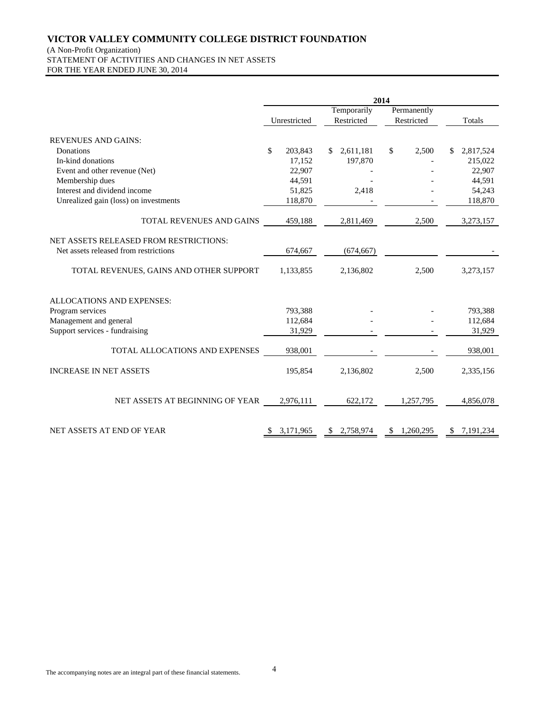#### (A Non-Profit Organization) STATEMENT OF ACTIVITIES AND CHANGES IN NET ASSETS FOR THE YEAR ENDED JUNE 30, 2014

|                                         | 2014          |                  |              |                  |  |  |
|-----------------------------------------|---------------|------------------|--------------|------------------|--|--|
|                                         |               | Temporarily      | Permanently  |                  |  |  |
|                                         | Unrestricted  | Restricted       | Restricted   | Totals           |  |  |
| <b>REVENUES AND GAINS:</b>              |               |                  |              |                  |  |  |
| Donations                               | \$<br>203,843 | 2,611,181<br>\$. | 2,500<br>\$. | 2,817,524<br>\$. |  |  |
| In-kind donations                       | 17,152        | 197,870          |              | 215,022          |  |  |
| Event and other revenue (Net)           | 22,907        |                  |              | 22,907           |  |  |
| Membership dues                         | 44,591        |                  |              | 44,591           |  |  |
| Interest and dividend income            | 51,825        | 2,418            |              | 54,243           |  |  |
| Unrealized gain (loss) on investments   | 118,870       |                  |              | 118,870          |  |  |
| TOTAL REVENUES AND GAINS                | 459,188       | 2,811,469        | 2,500        | 3,273,157        |  |  |
|                                         |               |                  |              |                  |  |  |
| NET ASSETS RELEASED FROM RESTRICTIONS:  |               |                  |              |                  |  |  |
| Net assets released from restrictions   | 674,667       | (674, 667)       |              |                  |  |  |
| TOTAL REVENUES, GAINS AND OTHER SUPPORT | 1,133,855     | 2,136,802        | 2,500        | 3,273,157        |  |  |
|                                         |               |                  |              |                  |  |  |
| <b>ALLOCATIONS AND EXPENSES:</b>        |               |                  |              |                  |  |  |
| Program services                        | 793,388       |                  |              | 793,388          |  |  |
| Management and general                  | 112,684       |                  |              | 112,684          |  |  |
| Support services - fundraising          | 31,929        |                  |              | 31,929           |  |  |
| TOTAL ALLOCATIONS AND EXPENSES          | 938,001       |                  |              | 938,001          |  |  |
| <b>INCREASE IN NET ASSETS</b>           | 195,854       | 2,136,802        | 2,500        | 2,335,156        |  |  |
|                                         |               |                  |              |                  |  |  |
| NET ASSETS AT BEGINNING OF YEAR         | 2.976.111     | 622,172          | 1,257,795    | 4,856,078        |  |  |
|                                         |               |                  |              |                  |  |  |
| NET ASSETS AT END OF YEAR               | 3,171,965     | 2,758,974        | 1,260,295    | 7,191,234        |  |  |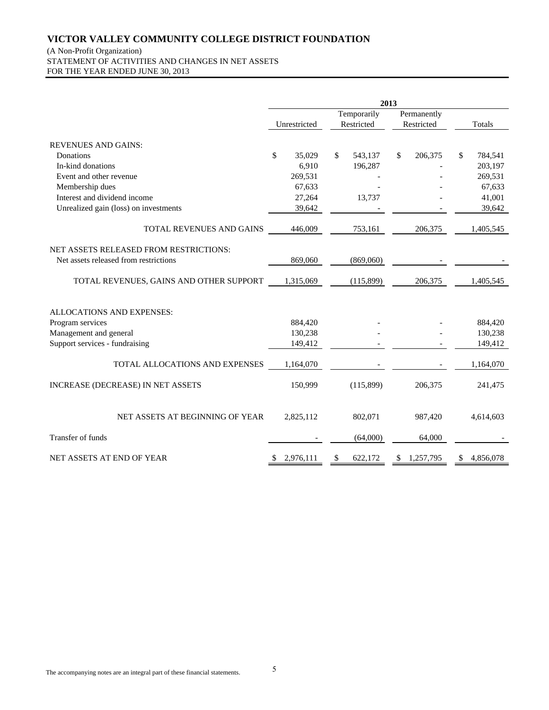#### (A Non-Profit Organization) STATEMENT OF ACTIVITIES AND CHANGES IN NET ASSETS FOR THE YEAR ENDED JUNE 30, 2013

|                                         | 2013         |               |                 |               |  |  |
|-----------------------------------------|--------------|---------------|-----------------|---------------|--|--|
|                                         |              | Temporarily   | Permanently     |               |  |  |
|                                         | Unrestricted | Restricted    | Restricted      | Totals        |  |  |
| <b>REVENUES AND GAINS:</b>              |              |               |                 |               |  |  |
| Donations                               | \$<br>35,029 | \$<br>543,137 | \$<br>206,375   | 784,541<br>\$ |  |  |
| In-kind donations                       | 6,910        | 196,287       |                 | 203,197       |  |  |
| Event and other revenue                 | 269,531      |               |                 | 269,531       |  |  |
| Membership dues                         | 67,633       |               |                 | 67,633        |  |  |
| Interest and dividend income            | 27,264       | 13,737        |                 | 41,001        |  |  |
| Unrealized gain (loss) on investments   | 39,642       |               |                 | 39,642        |  |  |
| TOTAL REVENUES AND GAINS                | 446,009      | 753,161       | 206,375         | 1,405,545     |  |  |
| NET ASSETS RELEASED FROM RESTRICTIONS:  |              |               |                 |               |  |  |
| Net assets released from restrictions   | 869,060      | (869,060)     |                 |               |  |  |
| TOTAL REVENUES, GAINS AND OTHER SUPPORT | 1,315,069    | (115,899)     | 206,375         | 1,405,545     |  |  |
|                                         |              |               |                 |               |  |  |
| <b>ALLOCATIONS AND EXPENSES:</b>        |              |               |                 |               |  |  |
| Program services                        | 884,420      |               |                 | 884,420       |  |  |
| Management and general                  | 130,238      |               |                 | 130,238       |  |  |
| Support services - fundraising          | 149,412      |               |                 | 149,412       |  |  |
| TOTAL ALLOCATIONS AND EXPENSES          | 1,164,070    |               |                 | 1,164,070     |  |  |
| INCREASE (DECREASE) IN NET ASSETS       | 150,999      | (115,899)     | 206,375         | 241,475       |  |  |
| NET ASSETS AT BEGINNING OF YEAR         | 2,825,112    | 802,071       | 987,420         | 4,614,603     |  |  |
| Transfer of funds                       |              | (64,000)      | 64,000          |               |  |  |
| NET ASSETS AT END OF YEAR               | \$2,976,111  | 622,172       | 1,257,795<br>S. | 4,856,078     |  |  |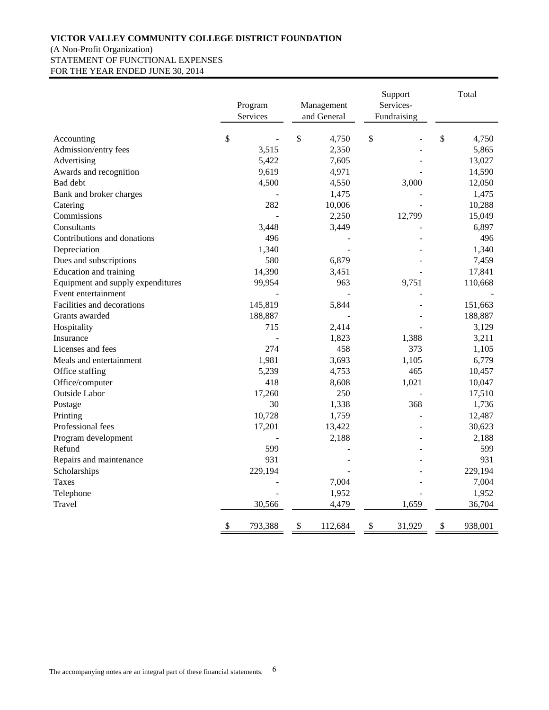# (A Non-Profit Organization) STATEMENT OF FUNCTIONAL EXPENSES FOR THE YEAR ENDED JUNE 30, 2014

|                                   | Program<br>Services | Management<br>and General | Support<br>Services-<br>Fundraising | Total         |
|-----------------------------------|---------------------|---------------------------|-------------------------------------|---------------|
| Accounting                        | \$                  | \$<br>4,750               | \$                                  | \$<br>4,750   |
| Admission/entry fees              | 3,515               | 2,350                     |                                     | 5,865         |
| Advertising                       | 5,422               | 7,605                     |                                     | 13,027        |
| Awards and recognition            | 9,619               | 4,971                     |                                     | 14,590        |
| Bad debt                          | 4,500               | 4,550                     | 3,000                               | 12,050        |
| Bank and broker charges           |                     | 1,475                     |                                     | 1,475         |
| Catering                          | 282                 | 10,006                    |                                     | 10,288        |
| Commissions                       |                     | 2,250                     | 12,799                              | 15,049        |
| Consultants                       | 3,448               | 3,449                     |                                     | 6,897         |
| Contributions and donations       | 496                 |                           |                                     | 496           |
| Depreciation                      | 1,340               |                           |                                     | 1,340         |
| Dues and subscriptions            | 580                 | 6,879                     |                                     | 7,459         |
| Education and training            | 14,390              | 3,451                     |                                     | 17,841        |
| Equipment and supply expenditures | 99,954              | 963                       | 9,751                               | 110,668       |
| Event entertainment               |                     |                           |                                     |               |
| Facilities and decorations        | 145,819             | 5,844                     |                                     | 151,663       |
| Grants awarded                    | 188,887             |                           |                                     | 188,887       |
| Hospitality                       | 715                 | 2,414                     |                                     | 3,129         |
| Insurance                         |                     | 1,823                     | 1,388                               | 3,211         |
| Licenses and fees                 | 274                 | 458                       | 373                                 | 1,105         |
| Meals and entertainment           | 1,981               | 3,693                     | 1,105                               | 6,779         |
| Office staffing                   | 5,239               | 4,753                     | 465                                 | 10,457        |
| Office/computer                   | 418                 | 8,608                     | 1,021                               | 10,047        |
| <b>Outside Labor</b>              | 17,260              | 250                       |                                     | 17,510        |
| Postage                           | 30                  | 1,338                     | 368                                 | 1,736         |
| Printing                          | 10,728              | 1,759                     |                                     | 12,487        |
| Professional fees                 | 17,201              | 13,422                    |                                     | 30,623        |
| Program development               |                     | 2,188                     |                                     | 2,188         |
| Refund                            | 599                 |                           |                                     | 599           |
| Repairs and maintenance           | 931                 |                           |                                     | 931           |
| Scholarships                      | 229,194             |                           |                                     | 229,194       |
| <b>Taxes</b>                      |                     | 7,004                     |                                     | 7,004         |
| Telephone                         |                     | 1,952                     |                                     | 1,952         |
| Travel                            | 30,566              | 4,479                     | 1,659                               | 36,704        |
|                                   | \$<br>793,388       | \$<br>112,684             | \$<br>31,929                        | \$<br>938,001 |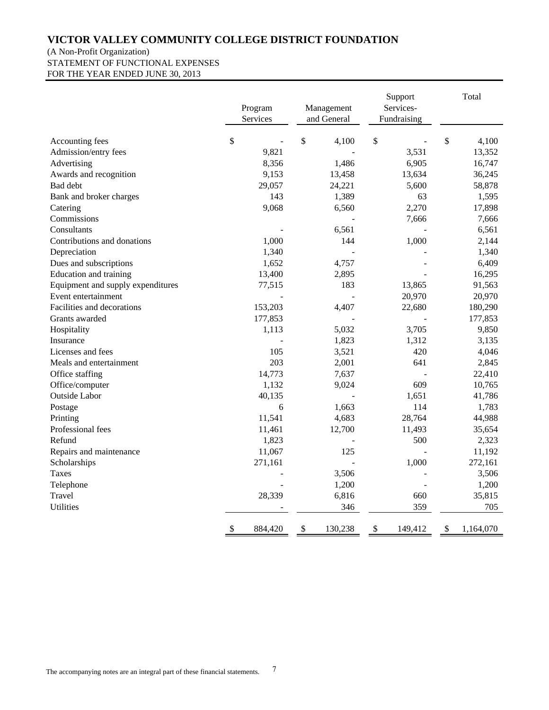# (A Non-Profit Organization) STATEMENT OF FUNCTIONAL EXPENSES FOR THE YEAR ENDED JUNE 30, 2013

|                                   | Program<br>Services | Management<br>and General | Support<br>Services-<br>Fundraising | Total           |
|-----------------------------------|---------------------|---------------------------|-------------------------------------|-----------------|
| Accounting fees                   | \$                  | \$<br>4,100               | \$                                  | \$<br>4,100     |
| Admission/entry fees              | 9,821               |                           | 3,531                               | 13,352          |
| Advertising                       | 8,356               | 1,486                     | 6,905                               | 16,747          |
| Awards and recognition            | 9,153               | 13,458                    | 13,634                              | 36,245          |
| Bad debt                          | 29,057              | 24,221                    | 5,600                               | 58,878          |
| Bank and broker charges           | 143                 | 1,389                     | 63                                  | 1,595           |
| Catering                          | 9,068               | 6,560                     | 2,270                               | 17,898          |
| Commissions                       |                     |                           | 7,666                               | 7,666           |
| Consultants                       |                     | 6,561                     |                                     | 6,561           |
| Contributions and donations       | 1,000               | 144                       | 1,000                               | 2,144           |
| Depreciation                      | 1,340               |                           |                                     | 1,340           |
| Dues and subscriptions            | 1,652               | 4,757                     |                                     | 6,409           |
| Education and training            | 13,400              | 2,895                     |                                     | 16,295          |
| Equipment and supply expenditures | 77,515              | 183                       | 13,865                              | 91,563          |
| Event entertainment               |                     |                           | 20,970                              | 20,970          |
| Facilities and decorations        | 153,203             | 4,407                     | 22,680                              | 180,290         |
| Grants awarded                    | 177,853             |                           |                                     | 177,853         |
| Hospitality                       | 1,113               | 5,032                     | 3,705                               | 9,850           |
| Insurance                         |                     | 1,823                     | 1,312                               | 3,135           |
| Licenses and fees                 | 105                 | 3,521                     | 420                                 | 4,046           |
| Meals and entertainment           | 203                 | 2,001                     | 641                                 | 2,845           |
| Office staffing                   | 14,773              | 7,637                     |                                     | 22,410          |
| Office/computer                   | 1,132               | 9,024                     | 609                                 | 10,765          |
| Outside Labor                     | 40,135              |                           | 1,651                               | 41,786          |
| Postage                           | 6                   | 1,663                     | 114                                 | 1,783           |
| Printing                          | 11,541              | 4,683                     | 28,764                              | 44,988          |
| Professional fees                 | 11,461              | 12,700                    | 11,493                              | 35,654          |
| Refund                            | 1,823               |                           | 500                                 | 2,323           |
| Repairs and maintenance           | 11,067              | 125                       |                                     | 11,192          |
| Scholarships                      | 271,161             |                           | 1,000                               | 272,161         |
| <b>Taxes</b>                      |                     | 3,506                     |                                     | 3,506           |
| Telephone                         |                     | 1,200                     |                                     | 1,200           |
| Travel                            | 28,339              | 6,816                     | 660                                 | 35,815          |
| Utilities                         |                     | 346                       | 359                                 | 705             |
|                                   | \$<br>884,420       | \$<br>130,238             | \$<br>149,412                       | \$<br>1,164,070 |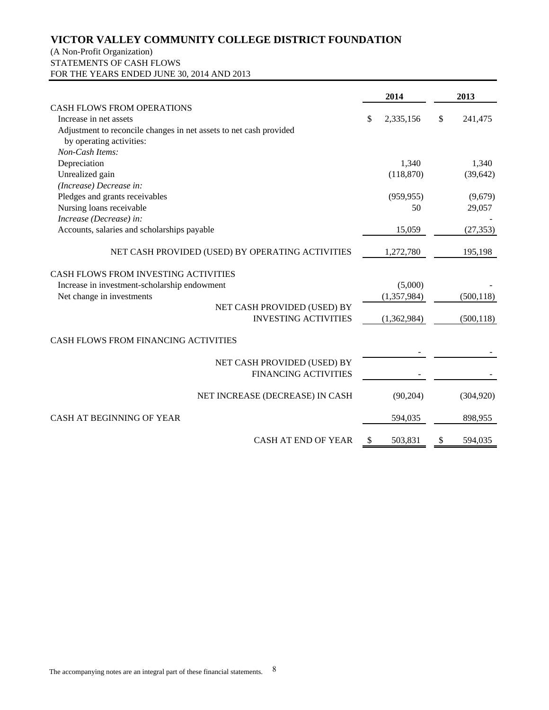# (A Non-Profit Organization) STATEMENTS OF CASH FLOWS FOR THE YEARS ENDED JUNE 30, 2014 AND 2013

|                                                                        | 2014            |    | 2013       |
|------------------------------------------------------------------------|-----------------|----|------------|
| <b>CASH FLOWS FROM OPERATIONS</b>                                      |                 |    |            |
| Increase in net assets                                                 | \$<br>2,335,156 | \$ | 241,475    |
| Adjustment to reconcile changes in net assets to net cash provided     |                 |    |            |
| by operating activities:                                               |                 |    |            |
| Non-Cash Items:                                                        |                 |    |            |
| Depreciation                                                           | 1,340           |    | 1,340      |
| Unrealized gain                                                        | (118, 870)      |    | (39, 642)  |
| (Increase) Decrease in:                                                |                 |    |            |
| Pledges and grants receivables                                         | (959, 955)      |    | (9,679)    |
| Nursing loans receivable                                               | 50              |    | 29,057     |
| Increase (Decrease) in:<br>Accounts, salaries and scholarships payable | 15,059          |    | (27, 353)  |
|                                                                        |                 |    |            |
| NET CASH PROVIDED (USED) BY OPERATING ACTIVITIES                       | 1,272,780       |    | 195,198    |
| CASH FLOWS FROM INVESTING ACTIVITIES                                   |                 |    |            |
| Increase in investment-scholarship endowment                           | (5,000)         |    |            |
| Net change in investments                                              | (1,357,984)     |    | (500, 118) |
| NET CASH PROVIDED (USED) BY                                            |                 |    |            |
| <b>INVESTING ACTIVITIES</b>                                            | (1,362,984)     |    | (500, 118) |
| CASH FLOWS FROM FINANCING ACTIVITIES                                   |                 |    |            |
|                                                                        |                 |    |            |
| NET CASH PROVIDED (USED) BY                                            |                 |    |            |
| <b>FINANCING ACTIVITIES</b>                                            |                 |    |            |
| NET INCREASE (DECREASE) IN CASH                                        | (90, 204)       |    | (304, 920) |
| CASH AT BEGINNING OF YEAR                                              | 594,035         |    | 898,955    |
| <b>CASH AT END OF YEAR</b>                                             | \$<br>503,831   | S. | 594,035    |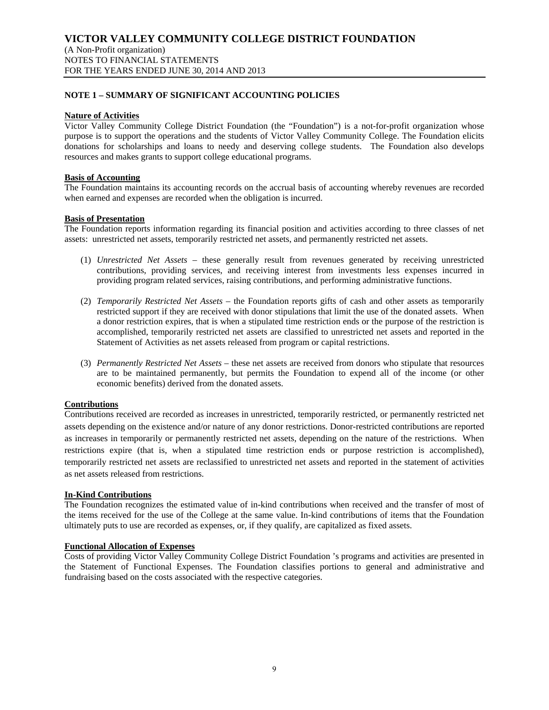(A Non-Profit organization) NOTES TO FINANCIAL STATEMENTS FOR THE YEARS ENDED JUNE 30, 2014 AND 2013

#### **NOTE 1 – SUMMARY OF SIGNIFICANT ACCOUNTING POLICIES**

## **Nature of Activities**

Victor Valley Community College District Foundation (the "Foundation") is a not-for-profit organization whose purpose is to support the operations and the students of Victor Valley Community College. The Foundation elicits donations for scholarships and loans to needy and deserving college students. The Foundation also develops resources and makes grants to support college educational programs.

## **Basis of Accounting**

The Foundation maintains its accounting records on the accrual basis of accounting whereby revenues are recorded when earned and expenses are recorded when the obligation is incurred.

## **Basis of Presentation**

The Foundation reports information regarding its financial position and activities according to three classes of net assets: unrestricted net assets, temporarily restricted net assets, and permanently restricted net assets.

- (1) *Unrestricted Net Assets* these generally result from revenues generated by receiving unrestricted contributions, providing services, and receiving interest from investments less expenses incurred in providing program related services, raising contributions, and performing administrative functions.
- (2) *Temporarily Restricted Net Assets* the Foundation reports gifts of cash and other assets as temporarily restricted support if they are received with donor stipulations that limit the use of the donated assets. When a donor restriction expires, that is when a stipulated time restriction ends or the purpose of the restriction is accomplished, temporarily restricted net assets are classified to unrestricted net assets and reported in the Statement of Activities as net assets released from program or capital restrictions.
- (3) *Permanently Restricted Net Assets* these net assets are received from donors who stipulate that resources are to be maintained permanently, but permits the Foundation to expend all of the income (or other economic benefits) derived from the donated assets.

#### **Contributions**

Contributions received are recorded as increases in unrestricted, temporarily restricted, or permanently restricted net assets depending on the existence and/or nature of any donor restrictions. Donor-restricted contributions are reported as increases in temporarily or permanently restricted net assets, depending on the nature of the restrictions. When restrictions expire (that is, when a stipulated time restriction ends or purpose restriction is accomplished), temporarily restricted net assets are reclassified to unrestricted net assets and reported in the statement of activities as net assets released from restrictions.

#### **In-Kind Contributions**

The Foundation recognizes the estimated value of in-kind contributions when received and the transfer of most of the items received for the use of the College at the same value. In-kind contributions of items that the Foundation ultimately puts to use are recorded as expenses, or, if they qualify, are capitalized as fixed assets.

#### **Functional Allocation of Expenses**

Costs of providing Victor Valley Community College District Foundation 's programs and activities are presented in the Statement of Functional Expenses. The Foundation classifies portions to general and administrative and fundraising based on the costs associated with the respective categories.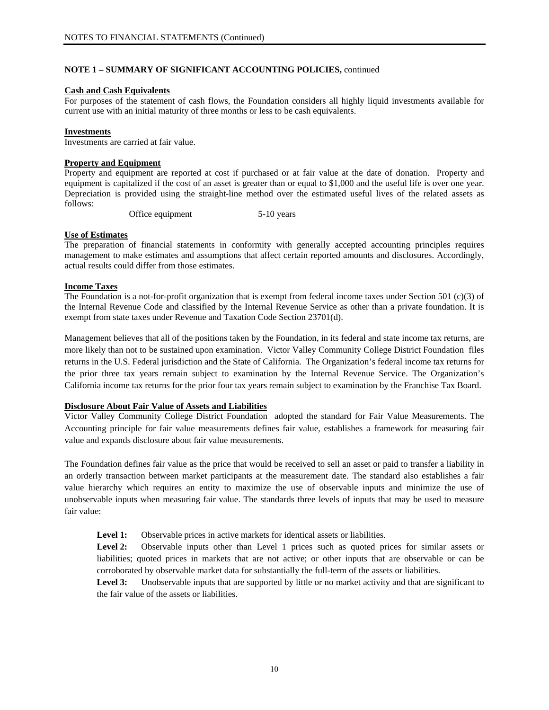## **NOTE 1 – SUMMARY OF SIGNIFICANT ACCOUNTING POLICIES,** continued

#### **Cash and Cash Equivalents**

For purposes of the statement of cash flows, the Foundation considers all highly liquid investments available for current use with an initial maturity of three months or less to be cash equivalents.

#### **Investments**

Investments are carried at fair value.

#### **Property and Equipment**

Property and equipment are reported at cost if purchased or at fair value at the date of donation. Property and equipment is capitalized if the cost of an asset is greater than or equal to \$1,000 and the useful life is over one year. Depreciation is provided using the straight-line method over the estimated useful lives of the related assets as follows:

Office equipment 5-10 years

#### **Use of Estimates**

The preparation of financial statements in conformity with generally accepted accounting principles requires management to make estimates and assumptions that affect certain reported amounts and disclosures. Accordingly, actual results could differ from those estimates.

#### **Income Taxes**

The Foundation is a not-for-profit organization that is exempt from federal income taxes under Section 501 (c)(3) of the Internal Revenue Code and classified by the Internal Revenue Service as other than a private foundation. It is exempt from state taxes under Revenue and Taxation Code Section 23701(d).

Management believes that all of the positions taken by the Foundation, in its federal and state income tax returns, are more likely than not to be sustained upon examination. Victor Valley Community College District Foundation files returns in the U.S. Federal jurisdiction and the State of California. The Organization's federal income tax returns for the prior three tax years remain subject to examination by the Internal Revenue Service. The Organization's California income tax returns for the prior four tax years remain subject to examination by the Franchise Tax Board.

#### **Disclosure About Fair Value of Assets and Liabilities**

Victor Valley Community College District Foundation adopted the standard for Fair Value Measurements. The Accounting principle for fair value measurements defines fair value, establishes a framework for measuring fair value and expands disclosure about fair value measurements.

The Foundation defines fair value as the price that would be received to sell an asset or paid to transfer a liability in an orderly transaction between market participants at the measurement date. The standard also establishes a fair value hierarchy which requires an entity to maximize the use of observable inputs and minimize the use of unobservable inputs when measuring fair value. The standards three levels of inputs that may be used to measure fair value:

Level 1: Observable prices in active markets for identical assets or liabilities.

Level 2: Observable inputs other than Level 1 prices such as quoted prices for similar assets or liabilities; quoted prices in markets that are not active; or other inputs that are observable or can be corroborated by observable market data for substantially the full-term of the assets or liabilities.

Level 3: Unobservable inputs that are supported by little or no market activity and that are significant to the fair value of the assets or liabilities.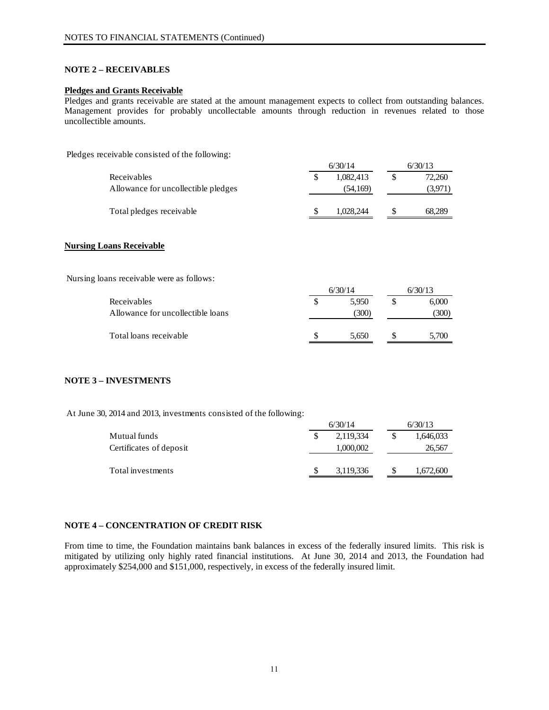# **NOTE 2 – RECEIVABLES**

## **Pledges and Grants Receivable**

Pledges and grants receivable are stated at the amount management expects to collect from outstanding balances. Management provides for probably uncollectable amounts through reduction in revenues related to those uncollectible amounts.

Pledges receivable consisted of the following:

|                                                    | 6/30/14               | 6/30/13 |                   |  |
|----------------------------------------------------|-----------------------|---------|-------------------|--|
| Receivables<br>Allowance for uncollectible pledges | 1,082,413<br>(54,169) |         | 72,260<br>(3.971) |  |
| Total pledges receivable                           | 1,028,244             |         | 68.289            |  |

#### **Nursing Loans Receivable**

Nursing loans receivable were as follows:

|       | 6/30/13 |       |  |
|-------|---------|-------|--|
| 5.950 |         | 6,000 |  |
| 300   |         | (300) |  |
| 5.650 |         | 5.700 |  |
|       |         |       |  |

# **NOTE 3 – INVESTMENTS**

At June 30, 2014 and 2013, investments consisted of the following:

|                         | 6/30/14 |           |  | 6/30/13   |
|-------------------------|---------|-----------|--|-----------|
| Mutual funds            |         | 2,119,334 |  | 1,646,033 |
| Certificates of deposit |         | 1,000,002 |  | 26,567    |
| Total investments       |         | 3,119,336 |  | 1,672,600 |

#### **NOTE 4 – CONCENTRATION OF CREDIT RISK**

From time to time, the Foundation maintains bank balances in excess of the federally insured limits. This risk is mitigated by utilizing only highly rated financial institutions. At June 30, 2014 and 2013, the Foundation had approximately \$254,000 and \$151,000, respectively, in excess of the federally insured limit.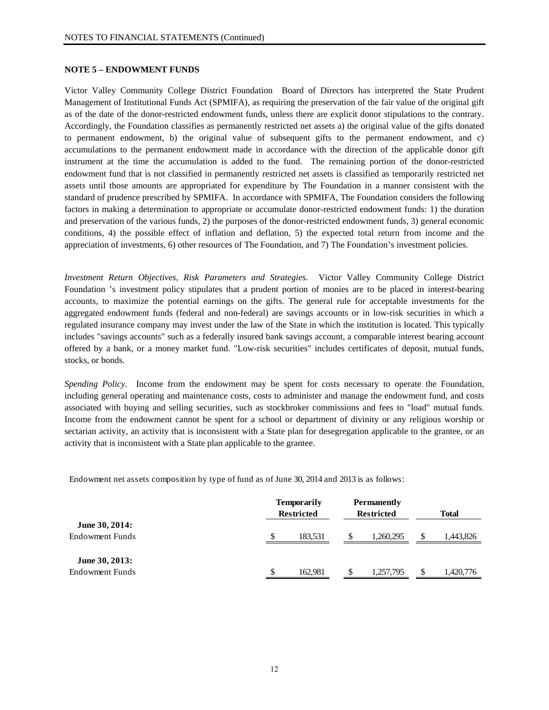#### **NOTE 5 – ENDOWMENT FUNDS**

Victor Valley Community College District Foundation Board of Directors has interpreted the State Prudent Management of Institutional Funds Act (SPMIFA), as requiring the preservation of the fair value of the original gift as of the date of the donor-restricted endowment funds, unless there are explicit donor stipulations to the contrary. Accordingly, the Foundation classifies as permanently restricted net assets a) the original value of the gifts donated to permanent endowment, b) the original value of subsequent gifts to the permanent endowment, and c) accumulations to the permanent endowment made in accordance with the direction of the applicable donor gift instrument at the time the accumulation is added to the fund. The remaining portion of the donor-restricted endowment fund that is not classified in permanently restricted net assets is classified as temporarily restricted net assets until those amounts are appropriated for expenditure by The Foundation in a manner consistent with the standard of prudence prescribed by SPMIFA. In accordance with SPMIFA, The Foundation considers the following factors in making a determination to appropriate or accumulate donor-restricted endowment funds: 1) the duration and preservation of the various funds, 2) the purposes of the donor-restricted endowment funds, 3) general economic conditions, 4) the possible effect of inflation and deflation, 5) the expected total return from income and the appreciation of investments, 6) other resources of The Foundation, and 7) The Foundation's investment policies.

*Investment Return Objectives, Risk Parameters and Strategies.* Victor Valley Community College District Foundation 's investment policy stipulates that a prudent portion of monies are to be placed in interest-bearing accounts, to maximize the potential earnings on the gifts. The general rule for acceptable investments for the aggregated endowment funds (federal and non-federal) are savings accounts or in low-risk securities in which a regulated insurance company may invest under the law of the State in which the institution is located. This typically includes "savings accounts" such as a federally insured bank savings account, a comparable interest bearing account offered by a bank, or a money market fund. "Low-risk securities" includes certificates of deposit, mutual funds, stocks, or bonds.

*Spending Policy.* Income from the endowment may be spent for costs necessary to operate the Foundation, including general operating and maintenance costs, costs to administer and manage the endowment fund, and costs associated with buying and selling securities, such as stockbroker commissions and fees to "load" mutual funds. Income from the endowment cannot be spent for a school or department of divinity or any religious worship or sectarian activity, an activity that is inconsistent with a State plan for desegregation applicable to the grantee, or an activity that is inconsistent with a State plan applicable to the grantee.

Endowment net assets composition by type of fund as of June 30, 2014 and 2013 is as follows:

|                                   | <b>Temporarily</b><br><b>Restricted</b> |         |  | <b>Permanently</b><br><b>Restricted</b> | <b>Total</b> |           |  |
|-----------------------------------|-----------------------------------------|---------|--|-----------------------------------------|--------------|-----------|--|
| June 30, 2014:<br>Endowment Funds | £.                                      | 183,531 |  | 1,260,295                               | ъ            | 1,443,826 |  |
| June 30, 2013:<br>Endowment Funds |                                         | 162.981 |  | 1,257,795                               |              | 1,420,776 |  |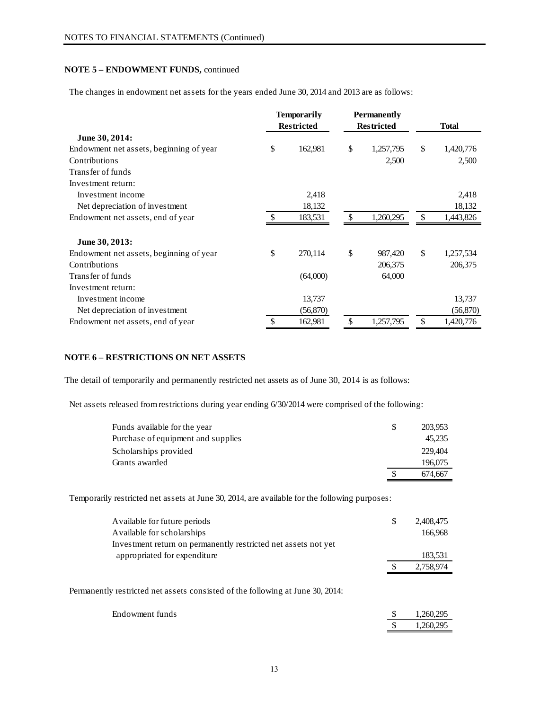# **NOTE 5 – ENDOWMENT FUNDS,** continued

The changes in endowment net assets for the years ended June 30, 2014 and 2013 are as follows:

|                                         | <b>Temporarily</b><br><b>Restricted</b> |           | <b>Permanently</b><br><b>Restricted</b> |           | <b>Total</b> |           |
|-----------------------------------------|-----------------------------------------|-----------|-----------------------------------------|-----------|--------------|-----------|
| June 30, 2014:                          |                                         |           |                                         |           |              |           |
| Endowment net assets, beginning of year | \$                                      | 162,981   | \$                                      | 1,257,795 | \$           | 1,420,776 |
| Contributions                           |                                         |           |                                         | 2,500     |              | 2,500     |
| Transfer of funds                       |                                         |           |                                         |           |              |           |
| Investment return:                      |                                         |           |                                         |           |              |           |
| Investment income                       |                                         | 2,418     |                                         |           |              | 2,418     |
| Net depreciation of investment          |                                         | 18,132    |                                         |           |              | 18,132    |
| Endowment net assets, end of year       |                                         | 183,531   |                                         | 1,260,295 | \$           | 1,443,826 |
| June 30, 2013:                          |                                         |           |                                         |           |              |           |
| Endowment net assets, beginning of year | \$                                      | 270,114   | \$                                      | 987,420   | \$           | 1,257,534 |
| Contributions                           |                                         |           |                                         | 206,375   |              | 206,375   |
| Transfer of funds                       |                                         | (64,000)  |                                         | 64,000    |              |           |
| Investment return:                      |                                         |           |                                         |           |              |           |
| Investment income                       |                                         | 13,737    |                                         |           |              | 13,737    |
| Net depreciation of investment          |                                         | (56, 870) |                                         |           |              | (56, 870) |
| Endowment net assets, end of year       | \$                                      | 162,981   | \$                                      | 1,257,795 | \$           | 1,420,776 |

# **NOTE 6 – RESTRICTIONS ON NET ASSETS**

The detail of temporarily and permanently restricted net assets as of June 30, 2014 is as follows:

Net assets released from restrictions during year ending 6/30/2014 were comprised of the following:

| Funds available for the year       | <sup>8</sup> | 203.953 |
|------------------------------------|--------------|---------|
| Purchase of equipment and supplies |              | 45,235  |
| Scholarships provided              |              | 229,404 |
| Grants awarded                     |              | 196,075 |
|                                    |              | 674.667 |

Temporarily restricted net assets at June 30, 2014, are available for the following purposes:

| Available for future periods                                   | S | 2.408.475 |
|----------------------------------------------------------------|---|-----------|
| Available for scholarships                                     |   | 166,968   |
| Investment return on permanently restricted net assets not yet |   |           |
| appropriated for expenditure                                   |   | 183,531   |
|                                                                |   | 2,758,974 |

Permanently restricted net assets consisted of the following at June 30, 2014:

| Endowment funds | 1.260.295 |
|-----------------|-----------|
|                 | 1,260,295 |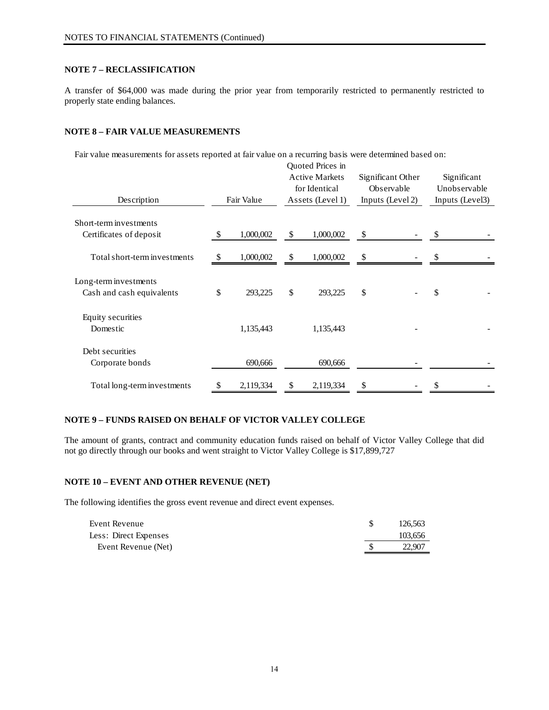# **NOTE 7 – RECLASSIFICATION**

A transfer of \$64,000 was made during the prior year from temporarily restricted to permanently restricted to properly state ending balances.

## **NOTE 8 – FAIR VALUE MEASUREMENTS**

Fair value measurements for assets reported at fair value on a recurring basis were determined based on:

| Description                  |               | Fair Value |    | Quoted Prices in<br><b>Active Markets</b><br>for Identical<br>Assets (Level 1) | Significant Other<br>Observable<br>Inputs (Level 2) |  | Significant<br>Unobservable<br>Inputs (Level3) |  |
|------------------------------|---------------|------------|----|--------------------------------------------------------------------------------|-----------------------------------------------------|--|------------------------------------------------|--|
| Short-term investments       |               |            |    |                                                                                |                                                     |  |                                                |  |
| Certificates of deposit      | <sup>\$</sup> | 1,000,002  | \$ | 1,000,002                                                                      | \$                                                  |  | \$                                             |  |
| Total short-term investments | -S            | 1,000,002  | \$ | 1,000,002                                                                      | \$                                                  |  |                                                |  |
| Long-term investments        |               |            |    |                                                                                |                                                     |  |                                                |  |
| Cash and cash equivalents    | \$            | 293,225    | \$ | 293,225                                                                        | \$                                                  |  | \$                                             |  |
| Equity securities            |               |            |    |                                                                                |                                                     |  |                                                |  |
| Domestic                     |               | 1,135,443  |    | 1,135,443                                                                      |                                                     |  |                                                |  |
| Debt securities              |               |            |    |                                                                                |                                                     |  |                                                |  |
| Corporate bonds              |               | 690,666    |    | 690,666                                                                        |                                                     |  |                                                |  |
| Total long-term investments  | S             | 2,119,334  | \$ | 2,119,334                                                                      | \$                                                  |  |                                                |  |

# **NOTE 9 – FUNDS RAISED ON BEHALF OF VICTOR VALLEY COLLEGE**

The amount of grants, contract and community education funds raised on behalf of Victor Valley College that did not go directly through our books and went straight to Victor Valley College is \$17,899,727

#### **NOTE 10 – EVENT AND OTHER REVENUE (NET)**

The following identifies the gross event revenue and direct event expenses.

| Event Revenue         | 126.563 |
|-----------------------|---------|
| Less: Direct Expenses | 103.656 |
| Event Revenue (Net)   | 22.907  |